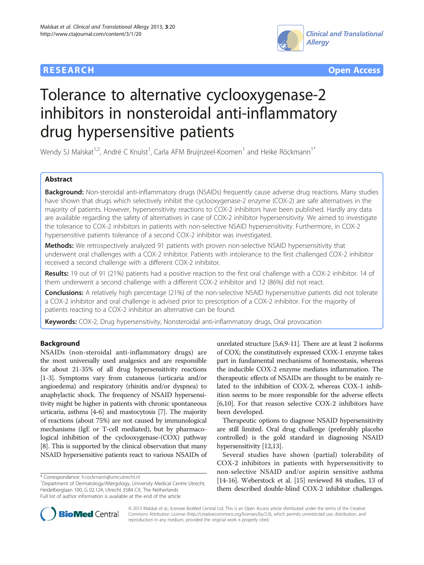



# Tolerance to alternative cyclooxygenase-2 inhibitors in nonsteroidal anti-inflammatory drug hypersensitive patients

Wendy SJ Malskat<sup>1,2</sup>, André C Knulst<sup>1</sup>, Carla AFM Bruijnzeel-Koomen<sup>1</sup> and Heike Röckmann<sup>1\*</sup>

# Abstract

Background: Non-steroidal anti-inflammatory drugs (NSAIDs) frequently cause adverse drug reactions. Many studies have shown that drugs which selectively inhibit the cyclooxygenase-2 enzyme (COX-2) are safe alternatives in the majority of patients. However, hypersensitivity reactions to COX-2 inhibitors have been published. Hardly any data are available regarding the safety of alternatives in case of COX-2 inhibitor hypersensitivity. We aimed to investigate the tolerance to COX-2 inhibitors in patients with non-selective NSAID hypersensitivity. Furthermore, in COX-2 hypersensitive patients tolerance of a second COX-2 inhibitor was investigated.

Methods: We retrospectively analyzed 91 patients with proven non-selective NSAID hypersensitivity that underwent oral challenges with a COX-2 inhibitor. Patients with intolerance to the first challenged COX-2 inhibitor received a second challenge with a different COX-2 inhibitor.

Results: 19 out of 91 (21%) patients had a positive reaction to the first oral challenge with a COX-2 inhibitor. 14 of them underwent a second challenge with a different COX-2 inhibitor and 12 (86%) did not react.

Conclusions: A relatively high percentage (21%) of the non-selective NSAID hypersensitive patients did not tolerate a COX-2 inhibitor and oral challenge is advised prior to prescription of a COX-2 inhibitor. For the majority of patients reacting to a COX-2 inhibitor an alternative can be found.

Keywords: COX-2, Drug hypersensitivity, Nonsteroidal anti-inflammatory drugs, Oral provocation

# Background

NSAIDs (non-steroidal anti-inflammatory drugs) are the most universally used analgesics and are responsible for about 21-35% of all drug hypersensitivity reactions [[1-3\]](#page-5-0). Symptoms vary from cutaneous (urticaria and/or angioedema) and respiratory (rhinitis and/or dyspnea) to anaphylactic shock. The frequency of NSAID hypersensitivity might be higher in patients with chronic spontaneous urticaria, asthma [\[4](#page-5-0)-[6](#page-5-0)] and mastocytosis [\[7\]](#page-5-0). The majority of reactions (about 75%) are not caused by immunological mechanisms (IgE or T-cell mediated), but by pharmacological inhibition of the cyclooxygenase-(COX) pathway [[8](#page-5-0)]. This is supported by the clinical observation that many NSAID hypersensitive patients react to various NSAIDs of

\* Correspondence: [h.rockmann@umcutrecht.nl](mailto:h.rockmann@umcutrecht.nl) <sup>1</sup>

<sup>1</sup>Department of Dermatology/Allergology, University Medical Centre Utrecht, Heidelberglaan 100, G 02.124, Utrecht 3584 CX, The Netherlands Full list of author information is available at the end of the article

unrelated structure [\[5,6,9-11](#page-5-0)]. There are at least 2 isoforms of COX; the constitutively expressed COX-1 enzyme takes part in fundamental mechanisms of homeostasis, whereas the inducible COX-2 enzyme mediates inflammation. The therapeutic effects of NSAIDs are thought to be mainly related to the inhibition of COX-2, whereas COX-1 inhibition seems to be more responsible for the adverse effects [[6,10\]](#page-5-0). For that reason selective COX-2 inhibitors have been developed.

Therapeutic options to diagnose NSAID hypersensitivity are still limited. Oral drug challenge (preferably placebo controlled) is the gold standard in diagnosing NSAID hypersensitivity [\[12,13](#page-5-0)].

Several studies have shown (partial) tolerability of COX-2 inhibitors in patients with hypersensitivity to non-selective NSAID and/or aspirin sensitive asthma [[14](#page-5-0)-[16](#page-5-0)]. Weberstock et al. [\[15\]](#page-5-0) reviewed 84 studies, 13 of them described double-blind COX-2 inhibitor challenges.



© 2013 Malskat et al.; licensee BioMed Central Ltd. This is an Open Access article distributed under the terms of the Creative Commons Attribution License [\(http://creativecommons.org/licenses/by/2.0\)](http://creativecommons.org/licenses/by/2.0), which permits unrestricted use, distribution, and reproduction in any medium, provided the original work is properly cited.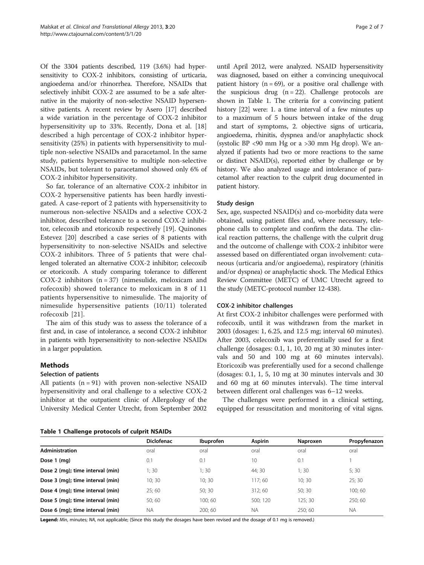Of the 3304 patients described, 119 (3.6%) had hypersensitivity to COX-2 inhibitors, consisting of urticaria, angioedema and/or rhinorrhea. Therefore, NSAIDs that selectively inhibit COX-2 are assumed to be a safe alternative in the majority of non-selective NSAID hypersensitive patients. A recent review by Asero [[17](#page-5-0)] described a wide variation in the percentage of COX-2 inhibitor hypersensitivity up to 33%. Recently, Dona et al. [[18](#page-5-0)] described a high percentage of COX-2 inhibitor hypersensitivity (25%) in patients with hypersensitivity to multiple non-selective NSAIDs and paracetamol. In the same study, patients hypersensitive to multiple non-selective NSAIDs, but tolerant to paracetamol showed only 6% of COX-2 inhibitor hypersensitivity.

So far, tolerance of an alternative COX-2 inhibitor in COX-2 hypersensitive patients has been hardly investigated. A case-report of 2 patients with hypersensitivity to numerous non-selective NSAIDs and a selective COX-2 inhibitor, described tolerance to a second COX-2 inhibitor, celecoxib and etoricoxib respectively [\[19\]](#page-5-0). Quinones Estevez [[20\]](#page-5-0) described a case series of 8 patients with hypersensitivity to non-selective NSAIDs and selective COX-2 inhibitors. Three of 5 patients that were challenged tolerated an alternative COX-2 inhibitor; celecoxib or etoricoxib. A study comparing tolerance to different COX-2 inhibitors  $(n = 37)$  (nimesulide, meloxicam and rofecoxib) showed tolerance to meloxicam in 8 of 11 patients hypersensitive to nimesulide. The majority of nimesulide hypersensitive patients (10/11) tolerated rofecoxib [\[21\]](#page-5-0).

The aim of this study was to assess the tolerance of a first and, in case of intolerance, a second COX-2 inhibitor in patients with hypersensitivity to non-selective NSAIDs in a larger population.

#### Methods

#### Selection of patients

All patients  $(n = 91)$  with proven non-selective NSAID hypersensitivity and oral challenge to a selective COX-2 inhibitor at the outpatient clinic of Allergology of the University Medical Center Utrecht, from September 2002

until April 2012, were analyzed. NSAID hypersensitivity was diagnosed, based on either a convincing unequivocal patient history ( $n = 69$ ), or a positive oral challenge with the suspicious drug  $(n = 22)$ . Challenge protocols are shown in Table 1. The criteria for a convincing patient history [[22](#page-5-0)] were: 1. a time interval of a few minutes up to a maximum of 5 hours between intake of the drug and start of symptoms, 2. objective signs of urticaria, angioedema, rhinitis, dyspnea and/or anaphylactic shock (systolic BP <90 mm Hg or a >30 mm Hg drop). We analyzed if patients had two or more reactions to the same or distinct NSAID(s), reported either by challenge or by history. We also analyzed usage and intolerance of paracetamol after reaction to the culprit drug documented in patient history.

#### Study design

Sex, age, suspected NSAID(s) and co-morbidity data were obtained, using patient files and, where necessary, telephone calls to complete and confirm the data. The clinical reaction patterns, the challenge with the culprit drug and the outcome of challenge with COX-2 inhibitor were assessed based on differentiated organ involvement: cutaneous (urticaria and/or angioedema), respiratory (rhinitis and/or dyspnea) or anaphylactic shock. The Medical Ethics Review Committee (METC) of UMC Utrecht agreed to the study (METC-protocol number 12-438).

#### COX-2 inhibitor challenges

At first COX-2 inhibitor challenges were performed with rofecoxib, until it was withdrawn from the market in 2003 (dosages: 1, 6.25, and 12.5 mg; interval 60 minutes). After 2003, celecoxib was preferentially used for a first challenge (dosages: 0.1, 1, 10, 20 mg at 30 minutes intervals and 50 and 100 mg at 60 minutes intervals). Etoricoxib was preferentially used for a second challenge (dosages: 0.1, 1, 5, 10 mg at 30 minutes intervals and 30 and 60 mg at 60 minutes intervals). The time interval between different oral challenges was 6–12 weeks.

The challenges were performed in a clinical setting, equipped for resuscitation and monitoring of vital signs.

|  |  | Table 1 Challenge protocols of culprit NSAIDs |  |  |
|--|--|-----------------------------------------------|--|--|
|--|--|-----------------------------------------------|--|--|

|                                  | <b>Diclofenac</b> | <b>Ibuprofen</b> | <b>Aspirin</b> | Naproxen | Propyfenazon |
|----------------------------------|-------------------|------------------|----------------|----------|--------------|
| <b>Administration</b>            | oral              | oral             | oral           | oral     | oral         |
| Dose 1 (mg)                      | 0.1               | 0.1              | 10             | 0.1      |              |
| Dose 2 (mg); time interval (min) | 1:30              | 1;30             | 44; 30         | 1;30     | 5:30         |
| Dose 3 (mg); time interval (min) | 10; 30            | 10:30            | 117;60         | 10; 30   | 25:30        |
| Dose 4 (mg); time interval (min) | 25:60             | 50:30            | 312:60         | 50; 30   | 100; 60      |
| Dose 5 (mg); time interval (min) | 50:60             | 100; 60          | 500: 120       | 125:30   | 250; 60      |
| Dose 6 (mg); time interval (min) | <b>NA</b>         | 200:60           | <b>NA</b>      | 250:60   | <b>NA</b>    |

Legend: Min, minutes; NA, not applicable; (Since this study the dosages have been revised and the dosage of 0.1 mg is removed.)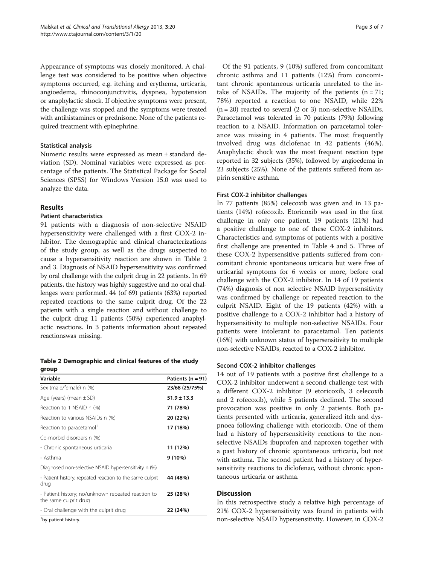Appearance of symptoms was closely monitored. A challenge test was considered to be positive when objective symptoms occurred, e.g. itching and erythema, urticaria, angioedema, rhinoconjunctivitis, dyspnea, hypotension or anaphylactic shock. If objective symptoms were present, the challenge was stopped and the symptoms were treated with antihistamines or prednisone. None of the patients required treatment with epinephrine.

# Statistical analysis

Numeric results were expressed as mean ± standard deviation (SD). Nominal variables were expressed as percentage of the patients. The Statistical Package for Social Sciences (SPSS) for Windows Version 15.0 was used to analyze the data.

# Results

# Patient characteristics

91 patients with a diagnosis of non-selective NSAID hypersensitivity were challenged with a first COX-2 inhibitor. The demographic and clinical characterizations of the study group, as well as the drugs suspected to cause a hypersensitivity reaction are shown in Table 2 and [3](#page-3-0). Diagnosis of NSAID hypersensitivity was confirmed by oral challenge with the culprit drug in 22 patients. In 69 patients, the history was highly suggestive and no oral challenges were performed. 44 (of 69) patients (63%) reported repeated reactions to the same culprit drug. Of the 22 patients with a single reaction and without challenge to the culprit drug 11 patients (50%) experienced anaphylactic reactions. In 3 patients information about repeated reactionswas missing.

Table 2 Demographic and clinical features of the study group

| Variable                                                                    | Patients $(n = 91)$ |
|-----------------------------------------------------------------------------|---------------------|
| Sex (male/female) n (%)                                                     | 23/68 (25/75%)      |
| Age (years) (mean $\pm$ SD)                                                 | $51.9 \pm 13.3$     |
| Reaction to 1 NSAID n (%)                                                   | 71 (78%)            |
| Reaction to various NSAIDs n (%)                                            | 20 (22%)            |
| Reaction to paracetamol                                                     | 17 (18%)            |
| Co-morbid disorders n (%)                                                   |                     |
| - Chronic spontaneous urticaria                                             | 11 (12%)            |
| - Asthma                                                                    | 9 (10%)             |
| Diagnosed non-selective NSAID hypersensitivity n (%)                        |                     |
| - Patient history; repeated reaction to the same culprit<br>drug            | 44 (48%)            |
| - Patient history; no/unknown repeated reaction to<br>the same culprit drug | 25 (28%)            |
| - Oral challenge with the culprit drug                                      | 22 (24%)            |
|                                                                             |                     |

<sup>1</sup>by patient history.

Of the 91 patients, 9 (10%) suffered from concomitant chronic asthma and 11 patients (12%) from concomitant chronic spontaneous urticaria unrelated to the intake of NSAIDs. The majority of the patients  $(n = 71)$ ; 78%) reported a reaction to one NSAID, while 22%  $(n = 20)$  reacted to several  $(2 \text{ or } 3)$  non-selective NSAIDs. Paracetamol was tolerated in 70 patients (79%) following reaction to a NSAID. Information on paracetamol tolerance was missing in 4 patients. The most frequently involved drug was diclofenac in 42 patients (46%). Anaphylactic shock was the most frequent reaction type reported in 32 subjects (35%), followed by angioedema in 23 subjects (25%). None of the patients suffered from aspirin sensitive asthma.

# First COX-2 inhibitor challenges

In 77 patients (85%) celecoxib was given and in 13 patients (14%) rofecoxib. Etoricoxib was used in the first challenge in only one patient. 19 patients (21%) had a positive challenge to one of these COX-2 inhibitors. Characteristics and symptoms of patients with a positive first challenge are presented in Table [4](#page-3-0) and [5.](#page-4-0) Three of these COX-2 hypersensitive patients suffered from concomitant chronic spontaneous urticaria but were free of urticarial symptoms for 6 weeks or more, before oral challenge with the COX-2 inhibitor. In 14 of 19 patients (74%) diagnosis of non selective NSAID hypersensitivity was confirmed by challenge or repeated reaction to the culprit NSAID. Eight of the 19 patients (42%) with a positive challenge to a COX-2 inhibitor had a history of hypersensitivity to multiple non-selective NSAIDs. Four patients were intolerant to paracetamol. Ten patients (16%) with unknown status of hypersensitivity to multiple non-selective NSAIDs, reacted to a COX-2 inhibitor.

# Second COX-2 inhibitor challenges

14 out of 19 patients with a positive first challenge to a COX-2 inhibitor underwent a second challenge test with a different COX-2 inhibitor (9 etoricoxib, 3 celecoxib and 2 rofecoxib), while 5 patients declined. The second provocation was positive in only 2 patients. Both patients presented with urticaria, generalized itch and dyspnoea following challenge with etoricoxib. One of them had a history of hypersensitivity reactions to the nonselective NSAIDs ibuprofen and naproxen together with a past history of chronic spontaneous urticaria, but not with asthma. The second patient had a history of hypersensitivity reactions to diclofenac, without chronic spontaneous urticaria or asthma.

# **Discussion**

In this retrospective study a relative high percentage of 21% COX-2 hypersensitivity was found in patients with non-selective NSAID hypersensitivity. However, in COX-2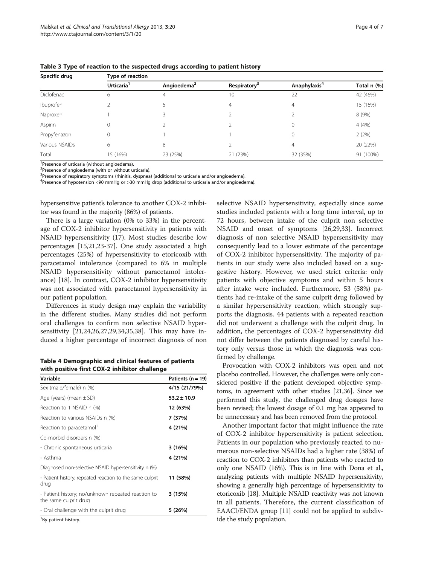| Specific drug  | Type of reaction       |                         |                          |                          |             |  |  |  |
|----------------|------------------------|-------------------------|--------------------------|--------------------------|-------------|--|--|--|
|                | Urticaria <sup>1</sup> | Angioedema <sup>2</sup> | Respiratory <sup>3</sup> | Anaphylaxis <sup>4</sup> | Total n (%) |  |  |  |
| Diclofenac     | 6                      | 4                       | 10                       | 22                       | 42 (46%)    |  |  |  |
| Ibuprofen      |                        |                         | 4                        | 4                        | 15 (16%)    |  |  |  |
| Naproxen       |                        |                         |                          |                          | 8 (9%)      |  |  |  |
| Aspirin        | 0                      |                         |                          |                          | 4(4%)       |  |  |  |
| Propyfenazon   | 0                      |                         |                          | 0                        | 2(2%)       |  |  |  |
| Various NSAIDs | 6                      | 8                       |                          | 4                        | 20 (22%)    |  |  |  |
| Total          | 15 (16%)               | 23 (25%)                | 21 (23%)                 | 32 (35%)                 | 91 (100%)   |  |  |  |

<span id="page-3-0"></span>Table 3 Type of reaction to the suspected drugs according to patient history

<sup>1</sup>Presence of urticaria (without angioedema).

<sup>2</sup>Presence of angioedema (with or without urticaria).

<sup>3</sup>Presence of respiratory symptoms (rhinitis, dyspnea) (additional to urticaria and/or angioedema).

<sup>4</sup>Presence of hypotension <90 mmHg or >30 mmHg drop (additional to urticaria and/or angioedema).

hypersensitive patient's tolerance to another COX-2 inhibitor was found in the majority (86%) of patients.

There is a large variation (0% to 33%) in the percentage of COX-2 inhibitor hypersensitivity in patients with NSAID hypersensitivity (17). Most studies describe low percentages [\[15,21,23](#page-5-0)-[37\]](#page-6-0). One study associated a high percentages (25%) of hypersensitivity to etoricoxib with paracetamol intolerance (compared to 6% in multiple NSAID hypersensitivity without paracetamol intolerance) [\[18](#page-5-0)]. In contrast, COX-2 inhibitor hypersensitivity was not associated with paracetamol hypersensitivity in our patient population.

Differences in study design may explain the variability in the different studies. Many studies did not perform oral challenges to confirm non selective NSAID hypersensitivity [\[21,24,26,27,29](#page-5-0)[,34,35,38\]](#page-6-0). This may have induced a higher percentage of incorrect diagnosis of non

Table 4 Demographic and clinical features of patients with positive first COX-2 inhibitor challenge

| Variable                                                                    | Patients ( $n = 19$ ) |
|-----------------------------------------------------------------------------|-----------------------|
| Sex (male/female) n (%)                                                     | 4/15 (21/79%)         |
| Age (years) (mean $\pm$ SD)                                                 | $53.2 \pm 10.9$       |
| Reaction to 1 NSAID n (%)                                                   | 12 (63%)              |
| Reaction to various NSAIDs n (%)                                            | 7 (37%)               |
| Reaction to paracetamol'                                                    | 4 (21%)               |
| Co-morbid disorders n (%)                                                   |                       |
| - Chronic spontaneous urticaria                                             | 3(16%)                |
| - Asthma                                                                    | 4 (21%)               |
| Diagnosed non-selective NSAID hypersensitivity n (%)                        |                       |
| - Patient history; repeated reaction to the same culprit<br>drug            | 11 (58%)              |
| - Patient history; no/unknown repeated reaction to<br>the same culprit drug | 3(15%)                |
| - Oral challenge with the culprit drug                                      | 5 (26%)               |
| $1 -$<br>$\sim$                                                             |                       |

<sup>1</sup>By patient history.

selective NSAID hypersensitivity, especially since some studies included patients with a long time interval, up to 72 hours, between intake of the culprit non selective NSAID and onset of symptoms [[26,29](#page-5-0),[33](#page-6-0)]. Incorrect diagnosis of non selective NSAID hypersensitivity may consequently lead to a lower estimate of the percentage of COX-2 inhibitor hypersensitivity. The majority of patients in our study were also included based on a suggestive history. However, we used strict criteria: only patients with objective symptoms and within 5 hours after intake were included. Furthermore, 53 (58%) patients had re-intake of the same culprit drug followed by a similar hypersensitivity reaction, which strongly supports the diagnosis. 44 patients with a repeated reaction did not underwent a challenge with the culprit drug. In addition, the percentages of COX-2 hypersensitivity did not differ between the patients diagnosed by careful history only versus those in which the diagnosis was confirmed by challenge.

Provocation with COX-2 inhibitors was open and not placebo controlled. However, the challenges were only considered positive if the patient developed objective symptoms, in agreement with other studies [\[21,](#page-5-0)[36](#page-6-0)]. Since we performed this study, the challenged drug dosages have been revised; the lowest dosage of 0.1 mg has appeared to be unnecessary and has been removed from the protocol.

Another important factor that might influence the rate of COX-2 inhibitor hypersensitivity is patient selection. Patients in our population who previously reacted to numerous non-selective NSAIDs had a higher rate (38%) of reaction to COX-2 inhibitors than patients who reacted to only one NSAID (16%). This is in line with Dona et al., analyzing patients with multiple NSAID hypersensitivity, showing a generally high percentage of hypersensitivity to etoricoxib [\[18](#page-5-0)]. Multiple NSAID reactivity was not known in all patients. Therefore, the current classification of EAACI/ENDA group [\[11\]](#page-5-0) could not be applied to subdivide the study population.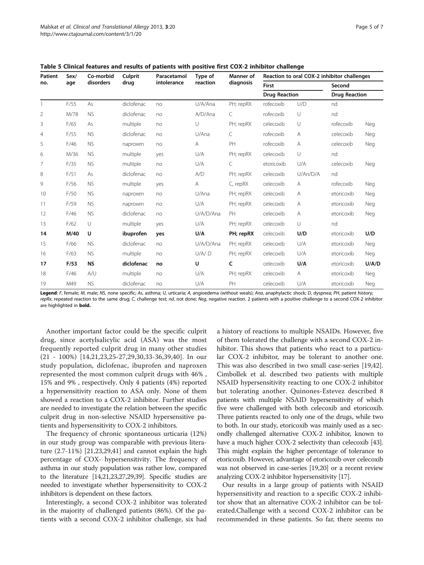| <b>Patient</b> | Sex/ | Co-morbid | Culprit<br>drug | Paracetamol<br>intolerance | Type of<br>reaction | Manner of<br>diagnosis | Reaction to oral COX-2 inhibitor challenges |          |                      |       |
|----------------|------|-----------|-----------------|----------------------------|---------------------|------------------------|---------------------------------------------|----------|----------------------|-------|
| no.            | age  | disorders |                 |                            |                     |                        | <b>First</b>                                |          | Second               |       |
|                |      |           |                 |                            |                     |                        | <b>Drug Reaction</b>                        |          | <b>Drug Reaction</b> |       |
| 1              | F/55 | As        | diclofenac      | no                         | U/A/Ana             | PH; repRX              | rofecoxib                                   | U/D      | nd                   |       |
| 2              | M/78 | <b>NS</b> | diclofenac      | no                         | A/D/Ana             | C                      | rofecoxib                                   | U        | nd                   |       |
| 3              | F/65 | As        | multiple        | no                         | U                   | PH; repRX              | celecoxib                                   | U        | rofecoxib            | Neg   |
| $\overline{4}$ | F/55 | <b>NS</b> | diclofenac      | no                         | U/Ana               | C                      | rofecoxib                                   | Α        | celecoxib            | Neg   |
| 5              | F/46 | <b>NS</b> | naproxen        | no                         | A                   | PH                     | rofecoxib                                   | Α        | celecoxib            | Neg   |
| 6              | M/36 | <b>NS</b> | multiple        | yes                        | U/A                 | PH; repRX              | celecoxib                                   | $\cup$   | nd                   |       |
| 7              | F/35 | <b>NS</b> | multiple        | no                         | U/A                 | C                      | etoricoxib                                  | U/A      | celecoxib            | Neg   |
| 8              | F/51 | As        | diclofenac      | no                         | A/D                 | PH; repRX              | celecoxib                                   | U/An/D/A | nd                   |       |
| 9              | F/56 | <b>NS</b> | multiple        | yes                        | A                   | C, repRX               | celecoxib                                   | A        | rofecoxib            | Neg   |
| 10             | F/50 | <b>NS</b> | naproxen        | no                         | U/Ana               | PH; repRX              | celecoxib                                   | Α        | etoricoxib           | Neg   |
| 11             | F/59 | <b>NS</b> | naproxen        | no                         | U/A                 | PH; repRX              | celecoxib                                   | Α        | etoricoxib           | Neg   |
| 12             | F/46 | <b>NS</b> | diclofenac      | no                         | U/A/D/Ana           | PH                     | celecoxib                                   | Α        | etoricoxib           | Neg   |
| 13             | F/62 | $\cup$    | multiple        | yes                        | U/A                 | PH; repRX              | celecoxib                                   | $\cup$   | nd                   |       |
| 14             | M/40 | U         | ibuprofen       | yes                        | U/A                 | PH; repRX              | celecoxib                                   | U/D      | etoricoxib           | U/D   |
| 15             | F/66 | <b>NS</b> | diclofenac      | no                         | U/A/D/Ana           | PH; repRX              | celecoxib                                   | U/A      | etoricoxib           | Neg   |
| 16             | F/63 | <b>NS</b> | multiple        | no                         | U/A/D               | PH; repRX              | celecoxib                                   | U/A      | etoricoxib           | Neg   |
| 17             | F/53 | <b>NS</b> | diclofenac      | no                         | U                   | C                      | celecoxib                                   | U/A      | etoricoxib           | U/A/D |
| 18             | F/46 | A/U       | multiple        | no                         | U/A                 | PH; repRX              | celecoxib                                   | Α        | etoricoxib           | Neg   |
| 19             | M49  | <b>NS</b> | diclofenac      | no                         | U/A                 | PH                     | celecoxib                                   | U/A      | etoricoxib           | Neg   |

<span id="page-4-0"></span>Table 5 Clinical features and results of patients with positive first COX-2 inhibitor challenge

Legend: F, female; M, male; NS, none specific; As, asthma; U, urticaria; A, angioedema (without weals); Ana, anaphylactic shock; D, dyspnea; PH, patient history; repRx, repeated reaction to the same drug; C, challenge test; nd, not done; Neg, negative reaction. 2 patients with a positive challenge to a second COX-2 inhibitor are highlighted in bold.

Another important factor could be the specific culprit drug, since acetylsalicylic acid (ASA) was the most frequently reported culprit drug in many other studies (21 - 100%) [[14,21](#page-5-0),[23,25](#page-5-0)-[27,29](#page-5-0),[30,](#page-5-0)[33](#page-6-0)-[36,39](#page-6-0),[40\]](#page-6-0). In our study population, diclofenac, ibuprofen and naproxen represented the most common culprit drugs with 46% , 15% and 9% , respectively. Only 4 patients (4%) reported a hypersensitivity reaction to ASA only. None of them showed a reaction to a COX-2 inhibitor. Further studies are needed to investigate the relation between the specific culprit drug in non-selective NSAID hypersensitive patients and hypersensitivity to COX-2 inhibitors.

The frequency of chronic spontaneous urticaria (12%) in our study group was comparable with previous literature (2.7-11%) [[21,23](#page-5-0),[29](#page-5-0),[41](#page-6-0)] and cannot explain the high percentage of COX- hypersensitivity. The frequency of asthma in our study population was rather low, compared to the literature [\[14,21,23,27,29](#page-5-0)[,39](#page-6-0)]. Specific studies are needed to investigate whether hypersensitivity to COX-2 inhibitors is dependent on these factors.

Interestingly, a second COX-2 inhibitor was tolerated in the majority of challenged patients (86%). Of the patients with a second COX-2 inhibitor challenge, six had

a history of reactions to multiple NSAIDs. However, five of them tolerated the challenge with a second COX-2 inhibitor. This shows that patients who react to a particular COX-2 inhibitor, may be tolerant to another one. This was also described in two small case-series [\[19](#page-5-0)[,42](#page-6-0)]. Cimbollek et al. described two patients with multiple NSAID hypersensitivity reacting to one COX-2 inhibitor but tolerating another. Quinones-Estevez described 8 patients with multiple NSAID hypersensitivity of which five were challenged with both celecoxib and etoricoxib. Three patients reacted to only one of the drugs, while two to both. In our study, etoricoxib was mainly used as a secondly challenged alternative COX-2 inhibitor, known to have a much higher COX-2 selectivity than celecoxib [\[43](#page-6-0)]. This might explain the higher percentage of tolerance to etoricoxib. However, advantage of etoricoxib over celecoxib was not observed in case-series [[19,20\]](#page-5-0) or a recent review analyzing COX-2 inhibitor hypersensitivity [[17](#page-5-0)].

Our results in a large group of patients with NSAID hypersensitivity and reaction to a specific COX-2 inhibitor show that an alternative COX-2 inhibitor can be tolerated.Challenge with a second COX-2 inhibitor can be recommended in these patients. So far, there seems no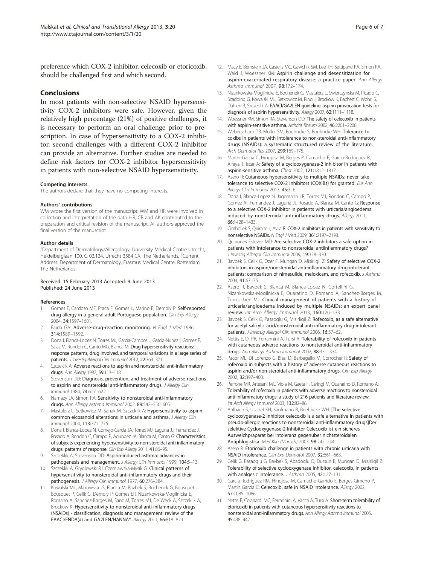<span id="page-5-0"></span>preference which COX-2 inhibitor, celecoxib or etoricoxib, should be challenged first and which second.

#### Conclusions

In most patients with non-selective NSAID hypersensitivity COX-2 inhibitors were safe. However, given the relatively high percentage (21%) of positive challenges, it is necessary to perform an oral challenge prior to prescription. In case of hypersensitivity to a COX-2 inhibitor, second challenges with a different COX-2 inhibitor can provide an alternative. Further studies are needed to define risk factors for COX-2 inhibitor hypersensitivity in patients with non-selective NSAID hypersensitivity.

#### Competing interests

The authors declare that they have no competing interests.

#### Authors' contributions

WM wrote the first version of the manuscript. WM and HR were involved in collection and interpretation of the data. HR, CB and AK contributed to the preparation and critical revision of the manuscript. All authors approved the final version of the manuscript.

#### Author details

<sup>1</sup>Department of Dermatology/Allergology, University Medical Centre Utrecht, Heidelberglaan 100, G 02.124, Utrecht 3584 CX, The Netherlands. <sup>2</sup>Current Address: Department of Dermatology, Erasmus Medical Centre, Rotterdam, The Netherlands.

#### Received: 15 February 2013 Accepted: 9 June 2013 Published: 24 June 2013

#### References

- Gomes E, Cardoso MF, Praca F, Gomes L, Marino E, Demoly P: Self-reported drug allergy in a general adult Portuguese population. Clin Exp Allergy 2004, 34:1597–1601.
- Faich GA: Adverse-drug-reaction monitoring. N Engl J Med 1986, 314:1589–1592.
- 3. Dona I, Blanca-Lopez N, Torres MJ, Garcia-Campos J, Garcia-Nunez I, Gomez F, Salas M, Rondon C, Canto MG, Blanca M: Drug hypersensitivity reactions: response patterns, drug involved, and temporal variations in a large series of patients. J Investig Allergol Clin Immunol 2012, 22:363-371.
- 4. Szczeklik A: Adverse reactions to aspirin and nonsteroidal anti-inflammatory drugs. Ann Allergy 1987, 59:113-118.
- Stevenson DD: Diagnosis, prevention, and treatment of adverse reactions to aspirin and nonsteroidal anti-inflammatory drugs. J Allergy Clin Immunol 1984, 74:617–622.
- 6. Namazy JA, Simon RA: Sensitivity to nonsteroidal anti-inflammatory drugs. Ann Allergy Asthma Immunol 2002, 89:542-550. 605.
- 7. Mastalerz L, Setkowicz M, Sanak M, Szczeklik A: Hypersensitivity to aspirin: common eicosanoid alterations in urticaria and asthma. J Allergy Clin Immunol 2004, 113:771–775.
- 8. Dona I, Blanca-Lopez N, Cornejo-Garcia JA, Torres MJ, Laguna JJ, Fernandez J, Rosado A, Rondon C, Campo P, Agundez JA, Blanca M, Canto G: Characteristics of subjects experiencing hypersensitivity to non-steroidal anti-inflammatory drugs: patterns of response. Clin Exp Allergy 2011, 41:86-95.
- Szczeklik A, Stevenson DD: Aspirin-induced asthma: advances in pathogenesis and management. J Allergy Clin Immunol 1999, 104:5-13.
- 10. Szczeklik A, Gryglewski RJ, Czerniawska-Mysik G: Clinical patterns of hypersensitivity to nonsteroidal anti-inflammatory drugs and their pathogenesis. J Allergy Clin Immunol 1977, 60:276-284.
- 11. Kowalski ML, Makowska JS, Blanca M, Bavbek S, Bochenek G, Bousquet J, Bousquet P, Celik G, Demoly P, Gomes ER, Nizankowska-Mogilnicka E, Romano A, Sanchez-Borges M, Sanz M, Torres MJ, De Weck A, Szczeklik A, Brockow K: Hypersensitivity to nonsteroidal anti-inflammatory drugs (NSAIDs) - classification, diagnosis and management: review of the EAACI/ENDA(#) and GA2LEN/HANNA\*. Allergy 2011, 66:818–829.
- 12. Macy E, Bernstein JA, Castells MC, Gawchik SM, Lee TH, Settipane RA, Simon RA, Wald J, Woessner KM: Aspirin challenge and desensitization for aspirin-exacerbated respiratory disease: a practice paper. Ann Allergy Asthma Immunol 2007, 98:172–174.
- 13. Nizankowska-Mogilnicka E, Bochenek G, Mastalerz L, Swierczynska M, Picado C, Scadding G, Kowalski ML, Setkowicz M, Ring J, Brockow K, Bachert C, Wohrl S, Dahlen B, Szczeklik A: EAACI/GA2LEN guideline: aspirin provocation tests for diagnosis of aspirin hypersensitivity. Allergy 2007, 62:1111-1118.
- 14. Woessner KM, Simon RA, Stevenson DD: The safety of celecoxib in patients with aspirin-sensitive asthma. Arthritis Rheum 2002, 46:2201–2206.
- 15. Weberschock TB, Muller SM, Boehncke S, Boehncke WH: Tolerance to coxibs in patients with intolerance to non-steroidal anti-inflammatory drugs (NSAIDs): a systematic structured review of the literature. Arch Dermatol Res 2007, 299:169–175.
- 16. Martin-Garcia C, Hinojosa M, Berges P, Camacho E, Garcia-Rodriguez R, Alfaya T, Iscar A: Safety of a cyclooxygenase-2 inhibitor in patients with aspirin-sensitive asthma. Chest 2002, 121:1812–1817.
- 17. Asero R: Cutaneous hypersensitivity to multiple NSAIDs: never take tolerance to selective COX-2 inhibitors (COXIBs) for granted! Eur Ann Allergy Clin Immunol 2013, 45:3–6.
- 18. Dona I, Blanca-Lopez N, Jagemann LR, Torres MJ, Rondon C, Campo P, Gomez AI, Fernandez J, Laguna JJ, Rosado A, Blanca M, Canto G: Response to a selective COX-2 inhibitor in patients with urticaria/angioedema induced by nonsteroidal anti-inflammatory drugs. Allergy 2011, 66:1428–1433.
- 19. Cimbollek S, Quiralte J, Avila R: COX-2 inhibitors in patients with sensitivity to nonselective NSAIDs. N Engl J Med 2009, 361:2197–2198.
- 20. Quinones Estevez MD: Are selective COX-2 inhibitors a safe option in patients with intolerance to nonsteroidal antiinflammatory drugs? J Investig Allergol Clin Immunol 2009, 19:328–330.
- 21. Bavbek S, Celik G, Ozer F, Mungan D, Misirligil Z: Safety of selective COX-2 inhibitors in aspirin/nonsteroidal anti-inflammatory drug-intolerant patients: comparison of nimesulide, meloxicam, and rofecoxib. J Asthma 2004, 41:67–75.
- 22. Asero R, Bavbek S, Blanca M, Blanca-Lopez N, Cortellini G, Nizankowska-Mogilnicka E, Quaratino D, Romano A, Sanchez-Borges M, Torres-Jaen MJ: Clinical management of patients with a history of urticaria/angioedema induced by multiple NSAIDs: an expert panel review. Int Arch Allergy Immunol 2013, 160:126–133.
- 23. Bavbek S, Celik G, Pasaoglu G, Misirligil Z: Rofecoxib, as a safe alternative for acetyl salicylic acid/nonsteroidal anti-inflammatory drug-intolerant patients. J Investig Allergol Clin Immunol 2006, 16:57-62.
- Nettis E, Di PR, Ferrannini A, Tursi A: Tolerability of rofecoxib in patients with cutaneous adverse reactions to nonsteroidal anti-inflammatory drugs. Ann Allergy Asthma Immunol 2002, 88:331–334.
- 25. Pacor ML, Di Lorenzo G, Biasi D, Barbagallo M, Corrocher R: Safety of rofecoxib in subjects with a history of adverse cutaneous reactions to aspirin and/or non-steroidal anti-inflammatory drugs. Clin Exp Allergy 2002, 32:397–400.
- 26. Perrone MR, Artesani MC, Viola M, Gaeta F, Caringi M, Quaratino D, Romano A: Tolerability of rofecoxib in patients with adverse reactions to nonsteroidal anti-inflammatory drugs: a study of 216 patients and literature review. Int Arch Allergy Immunol 2003, 132:82–86.
- 27. Ahlbach S, Usadel KH, Kaufmann R, Boehncke WH: [The selective cyclooxygenase-2 inhibitor celecoxib is a safe alternative in patients with pseudo-allergic reactions to nonsteroidal anti-inflammatory drugs]Der selektive Cyclooxygenase-2-Inhibitor Celecoxib ist ein sicheres Ausweichpraparat bei Intoleranz gegenuber nichtsteroidalen Antiphlogistika. Med Klin (Munich) 2003, 98:242–244.
- 28. Asero R: Etoricoxib challenge in patients with chronic urticaria with NSAID intolerance. Clin Exp Dermatol 2007, 32:661–663.
- 29. Celik G, Pasaoglu G, Bavbek S, Abadoglu O, Dursun B, Mungan D, Misirligil Z: Tolerability of selective cyclooxygenase inhibitor, celecoxib, in patients with analgesic intolerance. J Asthma 2005, 42:127-131.
- 30. Garcia-Rodriguez RM, Hinojosa M, Camacho-Garrido E, Berges Gimeno P, Martin Garcia C: Celecoxib, safe in NSAID intolerance. Allergy 2002, 57:1085–1086.
- 31. Nettis E, Colanardi MC, Ferrannini A, Vacca A, Tursi A: Short-term tolerability of etoricoxib in patients with cutaneous hypersensitivity reactions to nonsteroidal anti-inflammatory drugs. Ann Allergy Asthma Immunol 2005, 95:438–442.